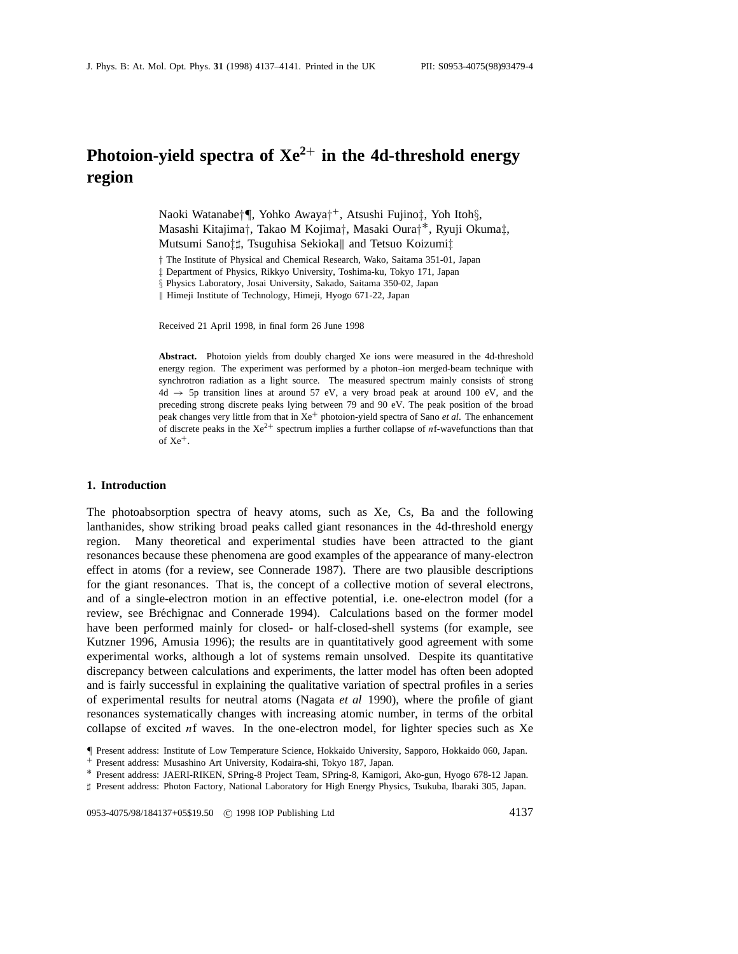# **Photoion-yield spectra of Xe<sup>2</sup>**<sup>+</sup> **in the 4d-threshold energy region**

Naoki Watanabe*†¶*, Yohko Awaya*†*<sup>+</sup>, Atsushi Fujino*‡*, Yoh Itoh*§*, Masashi Kitajima*†*, Takao M Kojima*†*, Masaki Oura*†*∗, Ryuji Okuma*‡*, Mutsumi Sano<sup>†</sup><sup>†</sup>, Tsuguhisa Sekioka|| and Tetsuo Koizumi<sup>†</sup>

*†* The Institute of Physical and Chemical Research, Wako, Saitama 351-01, Japan

*‡* Department of Physics, Rikkyo University, Toshima-ku, Tokyo 171, Japan

*§* Physics Laboratory, Josai University, Sakado, Saitama 350-02, Japan

|| Himeji Institute of Technology, Himeji, Hyogo 671-22, Japan

Received 21 April 1998, in final form 26 June 1998

**Abstract.** Photoion yields from doubly charged Xe ions were measured in the 4d-threshold energy region. The experiment was performed by a photon–ion merged-beam technique with synchrotron radiation as a light source. The measured spectrum mainly consists of strong  $4d \rightarrow 5p$  transition lines at around 57 eV, a very broad peak at around 100 eV, and the preceding strong discrete peaks lying between 79 and 90 eV. The peak position of the broad peak changes very little from that in  $Xe^+$  photoion-yield spectra of Sano *et al*. The enhancement of discrete peaks in the  $Xe^{2+}$  spectrum implies a further collapse of  $n$ f-wavefunctions than that of  $Xe^+$ .

### **1. Introduction**

The photoabsorption spectra of heavy atoms, such as Xe, Cs, Ba and the following lanthanides, show striking broad peaks called giant resonances in the 4d-threshold energy region. Many theoretical and experimental studies have been attracted to the giant resonances because these phenomena are good examples of the appearance of many-electron effect in atoms (for a review, see Connerade 1987). There are two plausible descriptions for the giant resonances. That is, the concept of a collective motion of several electrons, and of a single-electron motion in an effective potential, i.e. one-electron model (for a review, see Bréchignac and Connerade 1994). Calculations based on the former model have been performed mainly for closed- or half-closed-shell systems (for example, see Kutzner 1996, Amusia 1996); the results are in quantitatively good agreement with some experimental works, although a lot of systems remain unsolved. Despite its quantitative discrepancy between calculations and experiments, the latter model has often been adopted and is fairly successful in explaining the qualitative variation of spectral profiles in a series of experimental results for neutral atoms (Nagata *et al* 1990), where the profile of giant resonances systematically changes with increasing atomic number, in terms of the orbital collapse of excited *n*f waves. In the one-electron model, for lighter species such as Xe

*]* Present address: Photon Factory, National Laboratory for High Energy Physics, Tsukuba, Ibaraki 305, Japan.

0953-4075/98/184137+05\$19.50 <sup>c</sup> 1998 IOP Publishing Ltd 4137

*<sup>¶</sup>* Present address: Institute of Low Temperature Science, Hokkaido University, Sapporo, Hokkaido 060, Japan. <sup>+</sup> Present address: Musashino Art University, Kodaira-shi, Tokyo 187, Japan.

<sup>∗</sup> Present address: JAERI-RIKEN, SPring-8 Project Team, SPring-8, Kamigori, Ako-gun, Hyogo 678-12 Japan.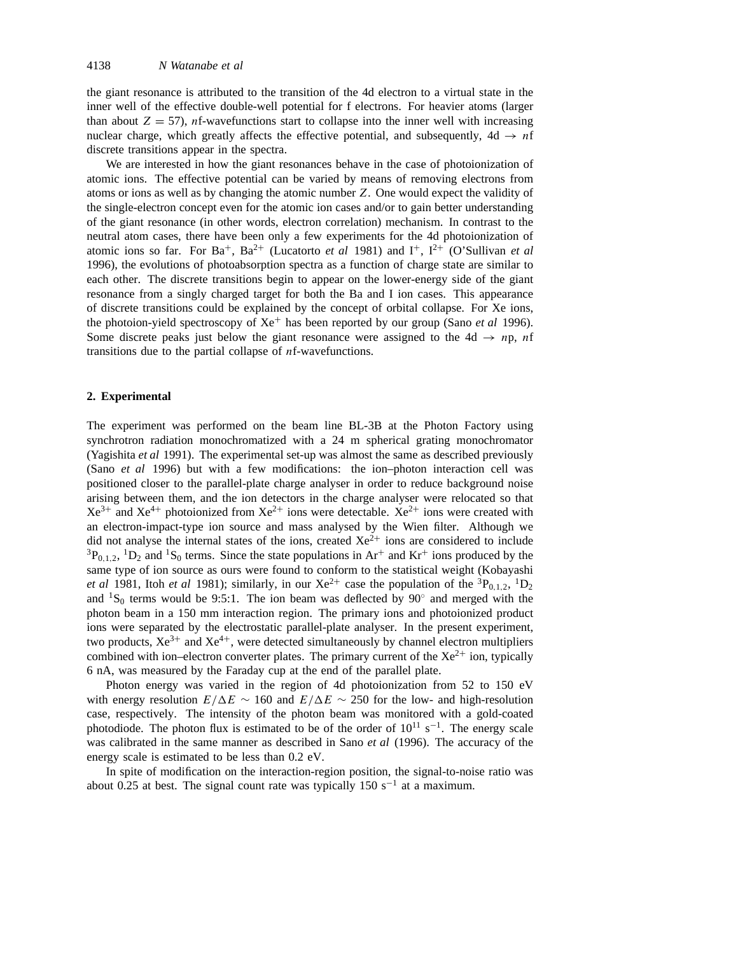the giant resonance is attributed to the transition of the 4d electron to a virtual state in the inner well of the effective double-well potential for f electrons. For heavier atoms (larger than about  $Z = 57$ ), *n*f-wavefunctions start to collapse into the inner well with increasing nuclear charge, which greatly affects the effective potential, and subsequently,  $4d \rightarrow nf$ discrete transitions appear in the spectra.

We are interested in how the giant resonances behave in the case of photoionization of atomic ions. The effective potential can be varied by means of removing electrons from atoms or ions as well as by changing the atomic number *Z*. One would expect the validity of the single-electron concept even for the atomic ion cases and/or to gain better understanding of the giant resonance (in other words, electron correlation) mechanism. In contrast to the neutral atom cases, there have been only a few experiments for the 4d photoionization of atomic ions so far. For Ba<sup>+</sup>, Ba<sup>2+</sup> (Lucatorto *et al* 1981) and I<sup>+</sup>, I<sup>2+</sup> (O'Sullivan *et al* 1996), the evolutions of photoabsorption spectra as a function of charge state are similar to each other. The discrete transitions begin to appear on the lower-energy side of the giant resonance from a singly charged target for both the Ba and I ion cases. This appearance of discrete transitions could be explained by the concept of orbital collapse. For Xe ions, the photoion-yield spectroscopy of Xe<sup>+</sup> has been reported by our group (Sano *et al* 1996). Some discrete peaks just below the giant resonance were assigned to the  $4d \rightarrow np$ , *nf* transitions due to the partial collapse of *n*f-wavefunctions.

## **2. Experimental**

The experiment was performed on the beam line BL-3B at the Photon Factory using synchrotron radiation monochromatized with a 24 m spherical grating monochromator (Yagishita *et al* 1991). The experimental set-up was almost the same as described previously (Sano *et al* 1996) but with a few modifications: the ion–photon interaction cell was positioned closer to the parallel-plate charge analyser in order to reduce background noise arising between them, and the ion detectors in the charge analyser were relocated so that  $Xe^{3+}$  and  $Xe^{4+}$  photoionized from  $Xe^{2+}$  ions were detectable.  $Xe^{2+}$  ions were created with an electron-impact-type ion source and mass analysed by the Wien filter. Although we did not analyse the internal states of the ions, created  $Xe^{2+}$  ions are considered to include  ${}^{3}P_{0,1,2}$ ,  ${}^{1}D_{2}$  and  ${}^{1}S_{0}$  terms. Since the state populations in Ar<sup>+</sup> and Kr<sup>+</sup> ions produced by the same type of ion source as ours were found to conform to the statistical weight (Kobayashi *et al* 1981, Itoh *et al* 1981); similarly, in our Xe<sup>2+</sup> case the population of the <sup>3</sup>P<sub>0,1,2</sub>, <sup>1</sup>D<sub>2</sub> and  ${}^{1}S_{0}$  terms would be 9:5:1. The ion beam was deflected by 90 $^{\circ}$  and merged with the photon beam in a 150 mm interaction region. The primary ions and photoionized product ions were separated by the electrostatic parallel-plate analyser. In the present experiment, two products,  $Xe^{3+}$  and  $Xe^{4+}$ , were detected simultaneously by channel electron multipliers combined with ion–electron converter plates. The primary current of the  $Xe^{2+}$  ion, typically 6 nA, was measured by the Faraday cup at the end of the parallel plate.

Photon energy was varied in the region of 4d photoionization from 52 to 150 eV with energy resolution  $E/\Delta E \sim 160$  and  $E/\Delta E \sim 250$  for the low- and high-resolution case, respectively. The intensity of the photon beam was monitored with a gold-coated photodiode. The photon flux is estimated to be of the order of  $10^{11}$  s<sup>-1</sup>. The energy scale was calibrated in the same manner as described in Sano *et al* (1996). The accuracy of the energy scale is estimated to be less than 0.2 eV.

In spite of modification on the interaction-region position, the signal-to-noise ratio was about 0.25 at best. The signal count rate was typically 150 s<sup>-1</sup> at a maximum.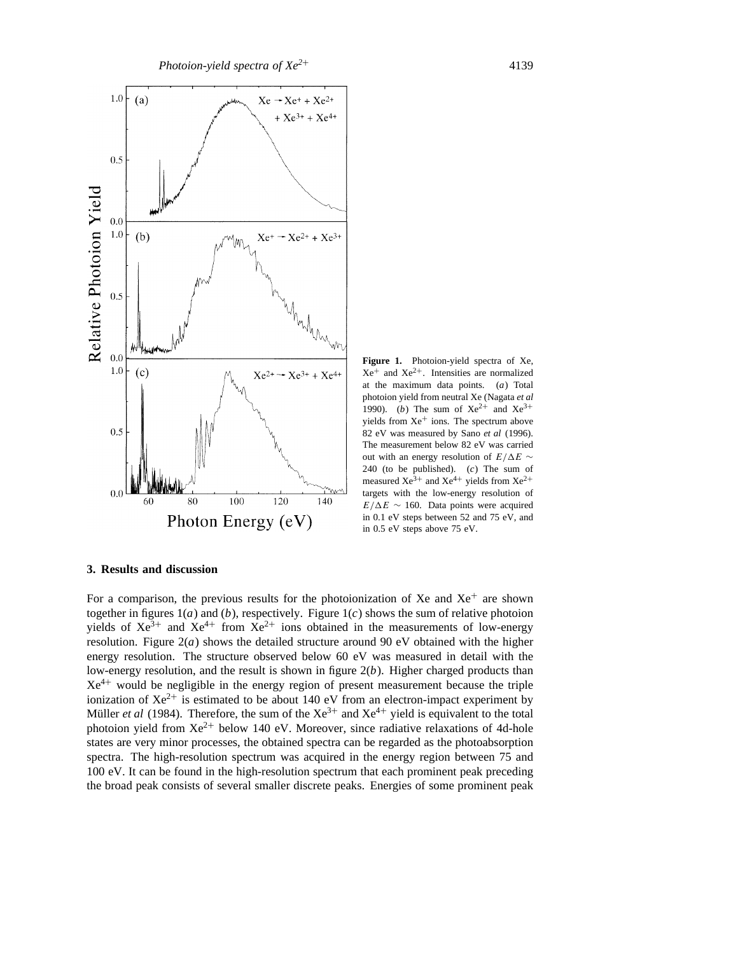

**Figure 1.** Photoion-yield spectra of Xe,  $Xe^+$  and  $Xe^{2+}$ . Intensities are normalized at the maximum data points. (*a*) Total photoion yield from neutral Xe (Nagata *et al* 1990). (*b*) The sum of  $Xe^{2+}$  and  $Xe^{3+}$ yields from Xe<sup>+</sup> ions. The spectrum above 82 eV was measured by Sano *et al* (1996). The measurement below 82 eV was carried out with an energy resolution of *E/*∆*E* ~ 240 (to be published). (*c*) The sum of measured  $Xe^{3+}$  and  $Xe^{4+}$  yields from  $Xe^{2+}$ targets with the low-energy resolution of  $E/\Delta E \sim 160$ . Data points were acquired in 0.1 eV steps between 52 and 75 eV, and in 0.5 eV steps above 75 eV.

#### **3. Results and discussion**

For a comparison, the previous results for the photoionization of Xe and  $Xe^+$  are shown together in figures  $1(a)$  and  $(b)$ , respectively. Figure  $1(c)$  shows the sum of relative photoion yields of  $Xe^{3+}$  and  $Xe^{4+}$  from  $Xe^{2+}$  ions obtained in the measurements of low-energy resolution. Figure  $2(a)$  shows the detailed structure around 90 eV obtained with the higher energy resolution. The structure observed below 60 eV was measured in detail with the low-energy resolution, and the result is shown in figure 2(*b*). Higher charged products than  $Xe^{4+}$  would be negligible in the energy region of present measurement because the triple ionization of  $Xe^{2+}$  is estimated to be about 140 eV from an electron-impact experiment by Müller *et al* (1984). Therefore, the sum of the  $Xe^{3+}$  and  $Xe^{4+}$  yield is equivalent to the total photoion yield from  $Xe^{2+}$  below 140 eV. Moreover, since radiative relaxations of 4d-hole states are very minor processes, the obtained spectra can be regarded as the photoabsorption spectra. The high-resolution spectrum was acquired in the energy region between 75 and 100 eV. It can be found in the high-resolution spectrum that each prominent peak preceding the broad peak consists of several smaller discrete peaks. Energies of some prominent peak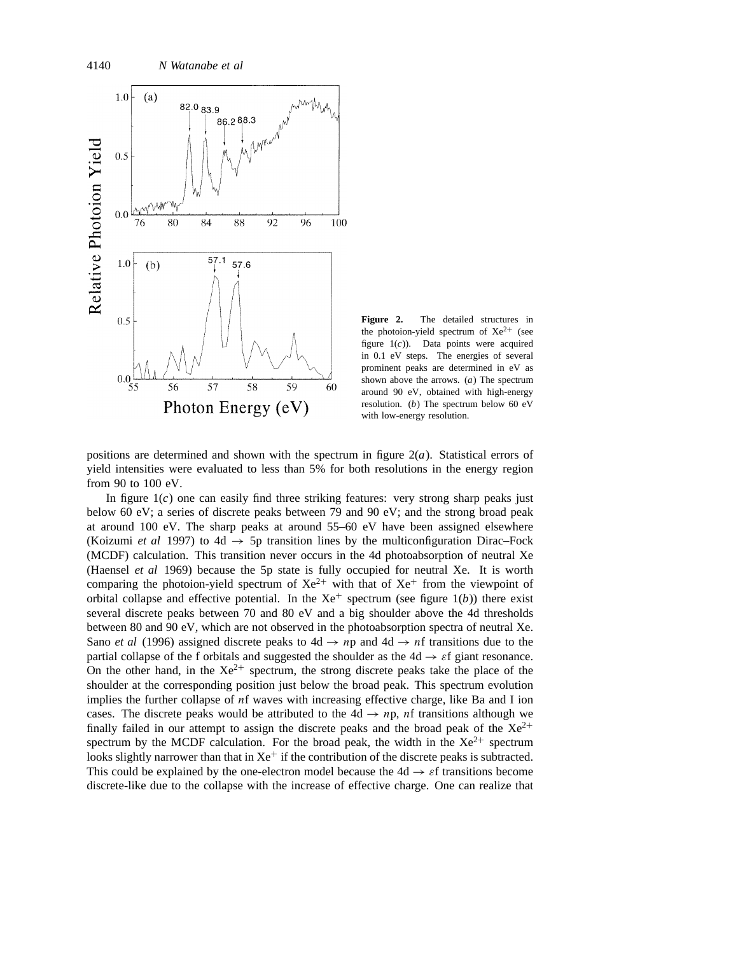

**Figure 2.** The detailed structures in the photoion-yield spectrum of  $Xe^{2+}$  (see figure 1(*c*)). Data points were acquired in 0.1 eV steps. The energies of several prominent peaks are determined in eV as shown above the arrows. (*a*) The spectrum around 90 eV, obtained with high-energy resolution. (*b*) The spectrum below 60 eV with low-energy resolution.

positions are determined and shown with the spectrum in figure 2(*a*). Statistical errors of yield intensities were evaluated to less than 5% for both resolutions in the energy region from 90 to 100 eV.

In figure  $1(c)$  one can easily find three striking features: very strong sharp peaks just below 60 eV; a series of discrete peaks between 79 and 90 eV; and the strong broad peak at around 100 eV. The sharp peaks at around 55–60 eV have been assigned elsewhere (Koizumi *et al* 1997) to 4d  $\rightarrow$  5p transition lines by the multiconfiguration Dirac–Fock (MCDF) calculation. This transition never occurs in the 4d photoabsorption of neutral Xe (Haensel *et al* 1969) because the 5p state is fully occupied for neutral Xe. It is worth comparing the photoion-yield spectrum of  $Xe^{2+}$  with that of  $Xe^{+}$  from the viewpoint of orbital collapse and effective potential. In the  $Xe^+$  spectrum (see figure 1(*b*)) there exist several discrete peaks between 70 and 80 eV and a big shoulder above the 4d thresholds between 80 and 90 eV, which are not observed in the photoabsorption spectra of neutral Xe. Sano *et al* (1996) assigned discrete peaks to  $4d \rightarrow np$  and  $4d \rightarrow nf$  transitions due to the partial collapse of the f orbitals and suggested the shoulder as the  $4d \rightarrow \varepsilon f$  giant resonance. On the other hand, in the  $Xe^{2+}$  spectrum, the strong discrete peaks take the place of the shoulder at the corresponding position just below the broad peak. This spectrum evolution implies the further collapse of *n*f waves with increasing effective charge, like Ba and I ion cases. The discrete peaks would be attributed to the  $4d \rightarrow np$ , *nf* transitions although we finally failed in our attempt to assign the discrete peaks and the broad peak of the  $Xe^{2+}$ spectrum by the MCDF calculation. For the broad peak, the width in the  $Xe^{2+}$  spectrum looks slightly narrower than that in  $Xe^+$  if the contribution of the discrete peaks is subtracted. This could be explained by the one-electron model because the  $4d \rightarrow \varepsilon$ f transitions become discrete-like due to the collapse with the increase of effective charge. One can realize that